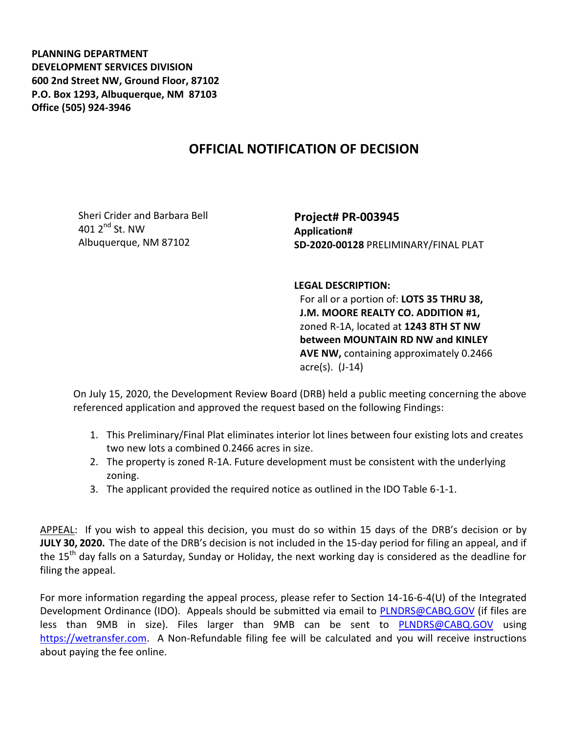**PLANNING DEPARTMENT DEVELOPMENT SERVICES DIVISION 600 2nd Street NW, Ground Floor, 87102 P.O. Box 1293, Albuquerque, NM 87103 Office (505) 924-3946** 

## **OFFICIAL NOTIFICATION OF DECISION**

Sheri Crider and Barbara Bell 401  $2^{nd}$  St. NW Albuquerque, NM 87102

**Project# PR-003945 Application# SD-2020-00128** PRELIMINARY/FINAL PLAT

**LEGAL DESCRIPTION:**

For all or a portion of: **LOTS 35 THRU 38, J.M. MOORE REALTY CO. ADDITION #1,**  zoned R-1A, located at **1243 8TH ST NW between MOUNTAIN RD NW and KINLEY AVE NW,** containing approximately 0.2466 acre(s). (J-14)

On July 15, 2020, the Development Review Board (DRB) held a public meeting concerning the above referenced application and approved the request based on the following Findings:

- 1. This Preliminary/Final Plat eliminates interior lot lines between four existing lots and creates two new lots a combined 0.2466 acres in size.
- 2. The property is zoned R-1A. Future development must be consistent with the underlying zoning.
- 3. The applicant provided the required notice as outlined in the IDO Table 6-1-1.

APPEAL: If you wish to appeal this decision, you must do so within 15 days of the DRB's decision or by **JULY 30, 2020.** The date of the DRB's decision is not included in the 15-day period for filing an appeal, and if the 15<sup>th</sup> day falls on a Saturday, Sunday or Holiday, the next working day is considered as the deadline for filing the appeal.

For more information regarding the appeal process, please refer to Section 14-16-6-4(U) of the Integrated Development Ordinance (IDO). Appeals should be submitted via email to [PLNDRS@CABQ.GOV](mailto:PLNDRS@CABQ.GOV) (if files are less than 9MB in size). Files larger than 9MB can be sent to **[PLNDRS@CABQ.GOV](mailto:PLNDRS@CABQ.GOV)** using [https://wetransfer.com.](https://wetransfer.com/) A Non-Refundable filing fee will be calculated and you will receive instructions about paying the fee online.